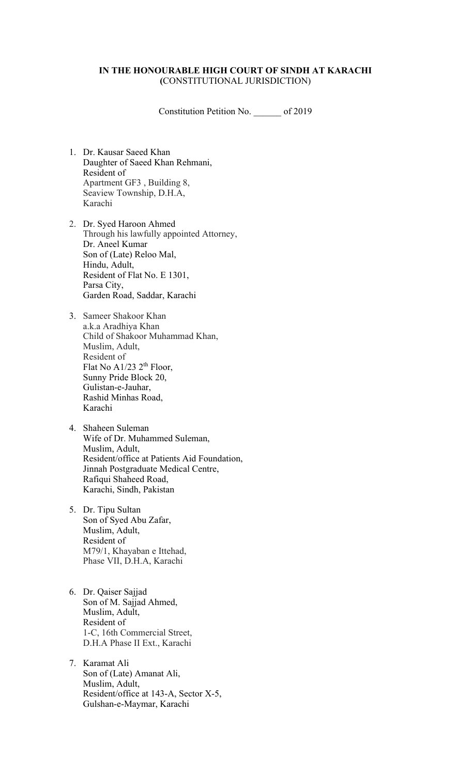#### **IN THE HONOURABLE HIGH COURT OF SINDH AT KARACHI (**CONSTITUTIONAL JURISDICTION)

Constitution Petition No. \_\_\_\_\_\_ of 2019

- 1. Dr. Kausar Saeed Khan Daughter of Saeed Khan Rehmani, Resident of Apartment GF3 , Building 8, Seaview Township, D.H.A, Karachi
- 2. Dr. Syed Haroon Ahmed Through his lawfully appointed Attorney, Dr. Aneel Kumar Son of (Late) Reloo Mal, Hindu, Adult, Resident of Flat No. E 1301, Parsa City, Garden Road, Saddar, Karachi
- 3. Sameer Shakoor Khan a.k.a Aradhiya Khan Child of Shakoor Muhammad Khan, Muslim, Adult, Resident of Flat No A1/23  $2<sup>th</sup>$  Floor, Sunny Pride Block 20, Gulistan-e-Jauhar, Rashid Minhas Road, Karachi
- 4. Shaheen Suleman Wife of Dr. Muhammed Suleman, Muslim, Adult, Resident/office at Patients Aid Foundation, Jinnah Postgraduate Medical Centre, Rafiqui Shaheed Road, Karachi, Sindh, Pakistan
- 5. Dr. Tipu Sultan Son of Syed Abu Zafar, Muslim, Adult, Resident of M79/1, Khayaban e Ittehad, Phase VII, D.H.A, Karachi
- 6. Dr. Qaiser Sajjad Son of M. Sajjad Ahmed, Muslim, Adult, Resident of 1-C, 16th Commercial Street, D.H.A Phase II Ext., Karachi
- 7. Karamat Ali Son of (Late) Amanat Ali, Muslim, Adult, Resident/office at 143-A, Sector X-5, Gulshan-e-Maymar, Karachi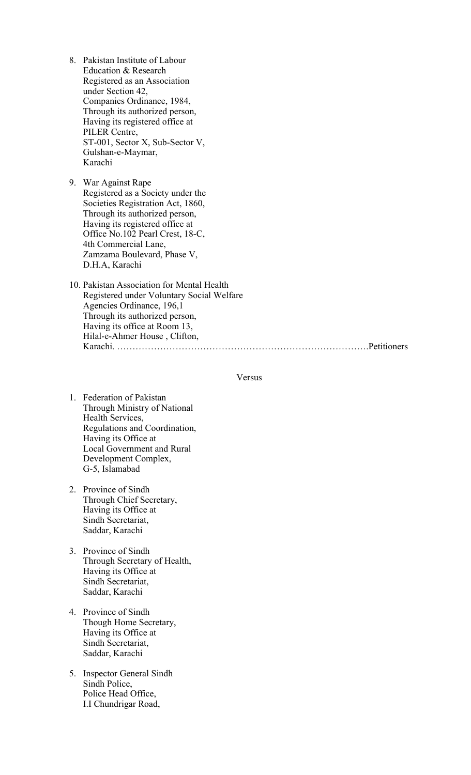- 8. Pakistan Institute of Labour Education & Research Registered as an Association under Section 42, Companies Ordinance, 1984, Through its authorized person, Having its registered office at PILER Centre, ST-001, Sector X, Sub-Sector V, Gulshan-e-Maymar, Karachi
- 9. War Against Rape Registered as a Society under the Societies Registration Act, 1860, Through its authorized person, Having its registered office at Office No.102 Pearl Crest, 18-C, 4th Commercial Lane, Zamzama Boulevard, Phase V, D.H.A, Karachi
- 10. Pakistan Association for Mental Health Registered under Voluntary Social Welfare Agencies Ordinance, 196,1 Through its authorized person, Having its office at Room 13, Hilal-e-Ahmer House , Clifton, Karachi. ……………………………………………………………………….Petitioners

#### Versus

- 1. Federation of Pakistan Through Ministry of National Health Services, Regulations and Coordination, Having its Office at Local Government and Rural Development Complex, G-5, Islamabad
- 2. Province of Sindh Through Chief Secretary, Having its Office at Sindh Secretariat, Saddar, Karachi
- 3. Province of Sindh Through Secretary of Health, Having its Office at Sindh Secretariat, Saddar, Karachi
- 4. Province of Sindh Though Home Secretary, Having its Office at Sindh Secretariat, Saddar, Karachi
- 5. Inspector General Sindh Sindh Police, Police Head Office, I.I Chundrigar Road,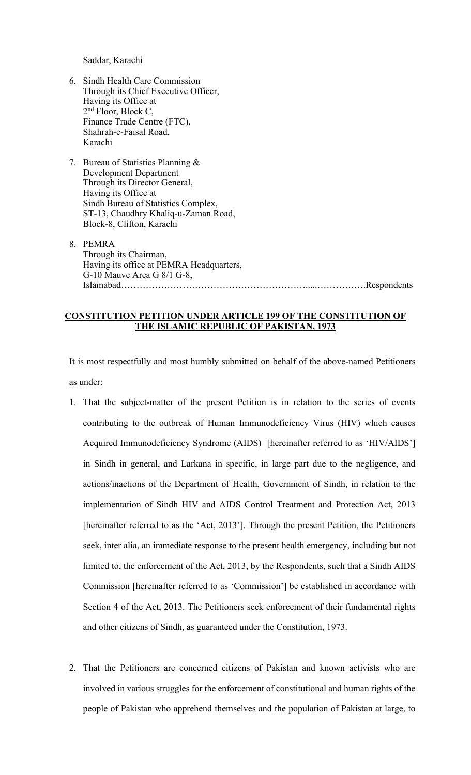Saddar, Karachi

- 6. Sindh Health Care Commission Through its Chief Executive Officer, Having its Office at 2<sup>nd</sup> Floor, Block C, Finance Trade Centre (FTC), Shahrah-e-Faisal Road, Karachi
- 7. Bureau of Statistics Planning & Development Department Through its Director General, Having its Office at Sindh Bureau of Statistics Complex, ST-13, Chaudhry Khaliq-u-Zaman Road, Block-8, Clifton, Karachi
- 8. PEMRA Through its Chairman, Having its office at PEMRA Headquarters, G-10 Mauve Area G 8/1 G-8, Islamabad…………………………………………………….....…………….Respondents

### **CONSTITUTION PETITION UNDER ARTICLE 199 OF THE CONSTITUTION OF THE ISLAMIC REPUBLIC OF PAKISTAN, 1973**

It is most respectfully and most humbly submitted on behalf of the above-named Petitioners as under:

- 1. That the subject-matter of the present Petition is in relation to the series of events contributing to the outbreak of Human Immunodeficiency Virus (HIV) which causes Acquired Immunodeficiency Syndrome (AIDS) [hereinafter referred to as 'HIV/AIDS'] in Sindh in general, and Larkana in specific, in large part due to the negligence, and actions/inactions of the Department of Health, Government of Sindh, in relation to the implementation of Sindh HIV and AIDS Control Treatment and Protection Act, 2013 [hereinafter referred to as the 'Act, 2013']. Through the present Petition, the Petitioners seek, inter alia, an immediate response to the present health emergency, including but not limited to, the enforcement of the Act, 2013, by the Respondents, such that a Sindh AIDS Commission [hereinafter referred to as 'Commission'] be established in accordance with Section 4 of the Act, 2013. The Petitioners seek enforcement of their fundamental rights and other citizens of Sindh, as guaranteed under the Constitution, 1973.
- 2. That the Petitioners are concerned citizens of Pakistan and known activists who are involved in various struggles for the enforcement of constitutional and human rights of the people of Pakistan who apprehend themselves and the population of Pakistan at large, to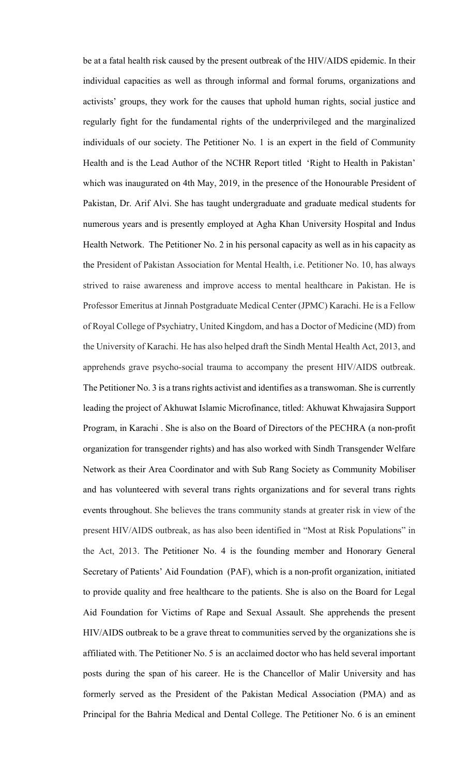be at a fatal health risk caused by the present outbreak of the HIV/AIDS epidemic. In their individual capacities as well as through informal and formal forums, organizations and activists' groups, they work for the causes that uphold human rights, social justice and regularly fight for the fundamental rights of the underprivileged and the marginalized individuals of our society. The Petitioner No. 1 is an expert in the field of Community Health and is the Lead Author of the NCHR Report titled 'Right to Health in Pakistan' which was inaugurated on 4th May, 2019, in the presence of the Honourable President of Pakistan, Dr. Arif Alvi. She has taught undergraduate and graduate medical students for numerous years and is presently employed at Agha Khan University Hospital and Indus Health Network. The Petitioner No. 2 in his personal capacity as well as in his capacity as the President of Pakistan Association for Mental Health, i.e. Petitioner No. 10, has always strived to raise awareness and improve access to mental healthcare in Pakistan. He is Professor Emeritus at Jinnah Postgraduate Medical Center (JPMC) Karachi. He is a Fellow of Royal College of Psychiatry, United Kingdom, and has a Doctor of Medicine (MD) from the University of Karachi. He has also helped draft the Sindh Mental Health Act, 2013, and apprehends grave psycho-social trauma to accompany the present HIV/AIDS outbreak. The Petitioner No. 3 is a trans rights activist and identifies as a transwoman. She is currently leading the project of Akhuwat Islamic Microfinance, titled: Akhuwat Khwajasira Support Program, in Karachi . She is also on the Board of Directors of the PECHRA (a non-profit organization for transgender rights) and has also worked with Sindh Transgender Welfare Network as their Area Coordinator and with Sub Rang Society as Community Mobiliser and has volunteered with several trans rights organizations and for several trans rights events throughout. She believes the trans community stands at greater risk in view of the present HIV/AIDS outbreak, as has also been identified in "Most at Risk Populations" in the Act, 2013. The Petitioner No. 4 is the founding member and Honorary General Secretary of Patients' Aid Foundation (PAF), which is a non-profit organization, initiated to provide quality and free healthcare to the patients. She is also on the Board for Legal Aid Foundation for Victims of Rape and Sexual Assault. She apprehends the present HIV/AIDS outbreak to be a grave threat to communities served by the organizations she is affiliated with. The Petitioner No. 5 is an acclaimed doctor who has held several important posts during the span of his career. He is the Chancellor of Malir University and has formerly served as the President of the Pakistan Medical Association (PMA) and as Principal for the Bahria Medical and Dental College. The Petitioner No. 6 is an eminent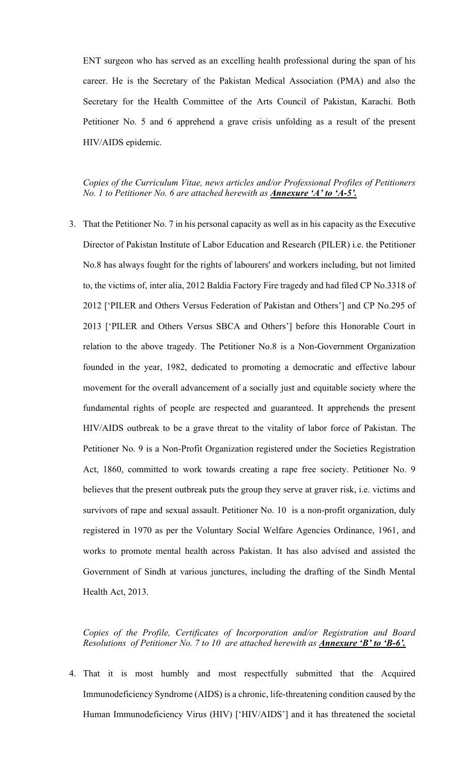ENT surgeon who has served as an excelling health professional during the span of his career. He is the Secretary of the Pakistan Medical Association (PMA) and also the Secretary for the Health Committee of the Arts Council of Pakistan, Karachi. Both Petitioner No. 5 and 6 apprehend a grave crisis unfolding as a result of the present HIV/AIDS epidemic.

*Copies of the Curriculum Vitae, news articles and/or Professional Profiles of Petitioners No. 1 to Petitioner No. 6 are attached herewith as Annexure 'A' to 'A-5'.*

3. That the Petitioner No. 7 in his personal capacity as well as in his capacity as the Executive Director of Pakistan Institute of Labor Education and Research (PILER) i.e. the Petitioner No.8 has always fought for the rights of labourers' and workers including, but not limited to, the victims of, inter alia, 2012 Baldia Factory Fire tragedy and had filed CP No.3318 of 2012 ['PILER and Others Versus Federation of Pakistan and Others'] and CP No.295 of 2013 ['PILER and Others Versus SBCA and Others'] before this Honorable Court in relation to the above tragedy. The Petitioner No.8 is a Non-Government Organization founded in the year, 1982, dedicated to promoting a democratic and effective labour movement for the overall advancement of a socially just and equitable society where the fundamental rights of people are respected and guaranteed. It apprehends the present HIV/AIDS outbreak to be a grave threat to the vitality of labor force of Pakistan. The Petitioner No. 9 is a Non-Profit Organization registered under the Societies Registration Act, 1860, committed to work towards creating a rape free society. Petitioner No. 9 believes that the present outbreak puts the group they serve at graver risk, i.e. victims and survivors of rape and sexual assault. Petitioner No. 10 is a non-profit organization, duly registered in 1970 as per the Voluntary Social Welfare Agencies Ordinance, 1961, and works to promote mental health across Pakistan. It has also advised and assisted the Government of Sindh at various junctures, including the drafting of the Sindh Mental Health Act, 2013.

*Copies of the Profile, Certificates of Incorporation and/or Registration and Board Resolutions of Petitioner No. 7 to 10 are attached herewith as Annexure 'B' to 'B-6'.*

4. That it is most humbly and most respectfully submitted that the Acquired Immunodeficiency Syndrome (AIDS) is a chronic, life-threatening condition caused by the Human Immunodeficiency Virus (HIV) ['HIV/AIDS'] and it has threatened the societal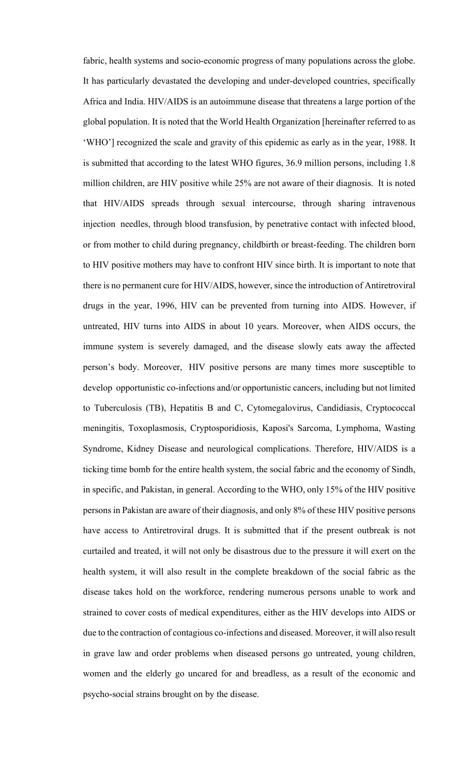fabric, health systems and socio-economic progress of many populations across the globe. It has particularly devastated the developing and under-developed countries, specifically Africa and India. HIV/AIDS is an autoimmune disease that threatens a large portion of the global population. It is noted that the World Health Organization [hereinafter referred to as 'WHO'] recognized the scale and gravity of this epidemic as early as in the year, 1988. It is submitted that according to the latest WHO figures, 36.9 million persons, including 1.8 million children, are HIV positive while 25% are not aware of their diagnosis. It is noted that HIV/AIDS spreads through sexual intercourse, through sharing intravenous injection needles, through blood transfusion, by penetrative contact with infected blood, or from mother to child during pregnancy, childbirth or breast-feeding. The children born to HIV positive mothers may have to confront HIV since birth. It is important to note that there is no permanent cure for HIV/AIDS, however, since the introduction of Antiretroviral drugs in the year, 1996, HIV can be prevented from turning into AIDS. However, if untreated, HIV turns into AIDS in about 10 years. Moreover, when AIDS occurs, the immune system is severely damaged, and the disease slowly eats away the affected person's body. Moreover, HIV positive persons are many times more susceptible to develop opportunistic co-infections and/or opportunistic cancers, including but not limited to Tuberculosis (TB), Hepatitis B and C, Cytomegalovirus, Candidiasis, Cryptococcal meningitis, Toxoplasmosis, Cryptosporidiosis, Kaposi's Sarcoma, Lymphoma, Wasting Syndrome, Kidney Disease and neurological complications. Therefore, HIV/AIDS is a ticking time bomb for the entire health system, the social fabric and the economy of Sindh, in specific, and Pakistan, in general. According to the WHO, only 15% of the HIV positive persons in Pakistan are aware of their diagnosis, and only 8% of these HIV positive persons have access to Antiretroviral drugs. It is submitted that if the present outbreak is not curtailed and treated, it will not only be disastrous due to the pressure it will exert on the health system, it will also result in the complete breakdown of the social fabric as the disease takes hold on the workforce, rendering numerous persons unable to work and strained to cover costs of medical expenditures, either as the HIV develops into AIDS or due to the contraction of contagious co-infections and diseased. Moreover, it will also result in grave law and order problems when diseased persons go untreated, young children, women and the elderly go uncared for and breadless, as a result of the economic and psycho-social strains brought on by the disease.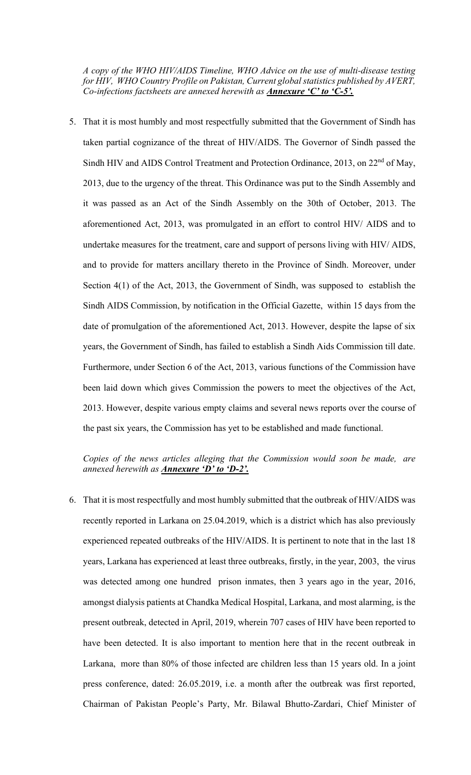*A copy of the WHO HIV/AIDS Timeline, WHO Advice on the use of multi-disease testing for HIV, WHO Country Profile on Pakistan, Current global statistics published by AVERT, Co-infections factsheets are annexed herewith as Annexure 'C' to 'C-5'.*

5. That it is most humbly and most respectfully submitted that the Government of Sindh has taken partial cognizance of the threat of HIV/AIDS. The Governor of Sindh passed the Sindh HIV and AIDS Control Treatment and Protection Ordinance, 2013, on 22<sup>nd</sup> of May, 2013, due to the urgency of the threat. This Ordinance was put to the Sindh Assembly and it was passed as an Act of the Sindh Assembly on the 30th of October, 2013. The aforementioned Act, 2013, was promulgated in an effort to control HIV/ AIDS and to undertake measures for the treatment, care and support of persons living with HIV/ AIDS, and to provide for matters ancillary thereto in the Province of Sindh. Moreover, under Section 4(1) of the Act, 2013, the Government of Sindh, was supposed to establish the Sindh AIDS Commission, by notification in the Official Gazette, within 15 days from the date of promulgation of the aforementioned Act, 2013. However, despite the lapse of six years, the Government of Sindh, has failed to establish a Sindh Aids Commission till date. Furthermore, under Section 6 of the Act, 2013, various functions of the Commission have been laid down which gives Commission the powers to meet the objectives of the Act, 2013. However, despite various empty claims and several news reports over the course of the past six years, the Commission has yet to be established and made functional.

## *Copies of the news articles alleging that the Commission would soon be made, are annexed herewith as Annexure 'D' to 'D-2'.*

6. That it is most respectfully and most humbly submitted that the outbreak of HIV/AIDS was recently reported in Larkana on 25.04.2019, which is a district which has also previously experienced repeated outbreaks of the HIV/AIDS. It is pertinent to note that in the last 18 years, Larkana has experienced at least three outbreaks, firstly, in the year, 2003, the virus was detected among one hundred prison inmates, then 3 years ago in the year, 2016, amongst dialysis patients at Chandka Medical Hospital, Larkana, and most alarming, is the present outbreak, detected in April, 2019, wherein 707 cases of HIV have been reported to have been detected. It is also important to mention here that in the recent outbreak in Larkana, more than 80% of those infected are children less than 15 years old. In a joint press conference, dated: 26.05.2019, i.e. a month after the outbreak was first reported, Chairman of Pakistan People's Party, Mr. Bilawal Bhutto-Zardari, Chief Minister of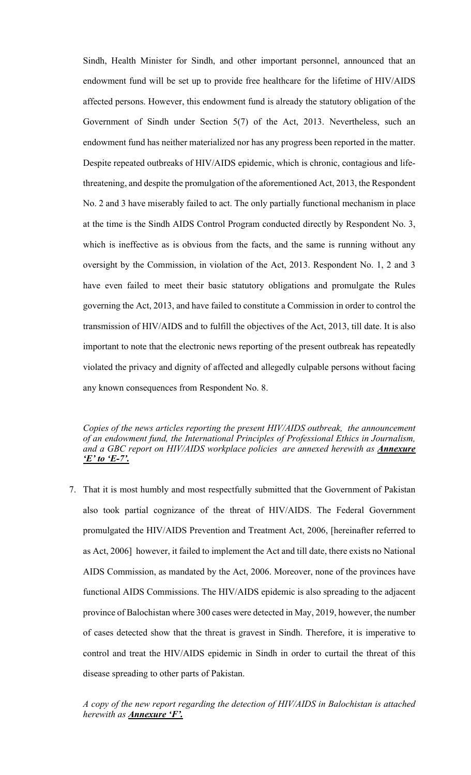Sindh, Health Minister for Sindh, and other important personnel, announced that an endowment fund will be set up to provide free healthcare for the lifetime of HIV/AIDS affected persons. However, this endowment fund is already the statutory obligation of the Government of Sindh under Section 5(7) of the Act, 2013. Nevertheless, such an endowment fund has neither materialized nor has any progress been reported in the matter. Despite repeated outbreaks of HIV/AIDS epidemic, which is chronic, contagious and lifethreatening, and despite the promulgation of the aforementioned Act, 2013, the Respondent No. 2 and 3 have miserably failed to act. The only partially functional mechanism in place at the time is the Sindh AIDS Control Program conducted directly by Respondent No. 3, which is ineffective as is obvious from the facts, and the same is running without any oversight by the Commission, in violation of the Act, 2013. Respondent No. 1, 2 and 3 have even failed to meet their basic statutory obligations and promulgate the Rules governing the Act, 2013, and have failed to constitute a Commission in order to control the transmission of HIV/AIDS and to fulfill the objectives of the Act, 2013, till date. It is also important to note that the electronic news reporting of the present outbreak has repeatedly violated the privacy and dignity of affected and allegedly culpable persons without facing any known consequences from Respondent No. 8.

*Copies of the news articles reporting the present HIV/AIDS outbreak, the announcement of an endowment fund, the International Principles of Professional Ethics in Journalism, and a GBC report on HIV/AIDS workplace policies are annexed herewith as Annexure 'E' to 'E-7'.*

7. That it is most humbly and most respectfully submitted that the Government of Pakistan also took partial cognizance of the threat of HIV/AIDS. The Federal Government promulgated the HIV/AIDS Prevention and Treatment Act, 2006, [hereinafter referred to as Act, 2006] however, it failed to implement the Act and till date, there exists no National AIDS Commission, as mandated by the Act, 2006. Moreover, none of the provinces have functional AIDS Commissions. The HIV/AIDS epidemic is also spreading to the adjacent province of Balochistan where 300 cases were detected in May, 2019, however, the number of cases detected show that the threat is gravest in Sindh. Therefore, it is imperative to control and treat the HIV/AIDS epidemic in Sindh in order to curtail the threat of this disease spreading to other parts of Pakistan.

*A copy of the new report regarding the detection of HIV/AIDS in Balochistan is attached herewith as Annexure 'F'.*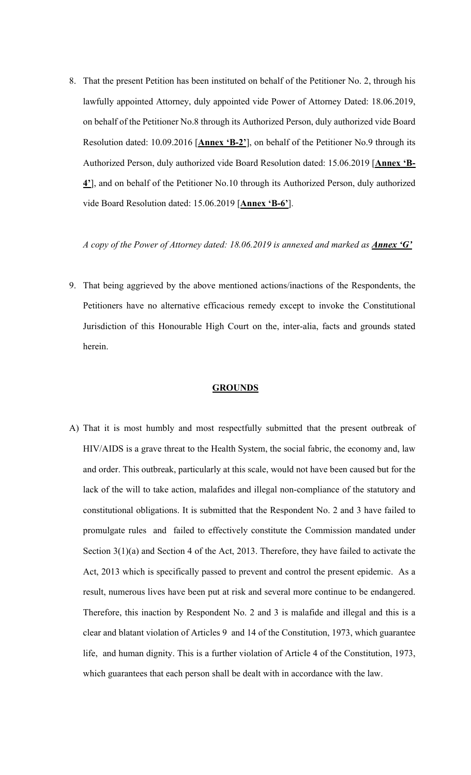8. That the present Petition has been instituted on behalf of the Petitioner No. 2, through his lawfully appointed Attorney, duly appointed vide Power of Attorney Dated: 18.06.2019, on behalf of the Petitioner No.8 through its Authorized Person, duly authorized vide Board Resolution dated: 10.09.2016 [**Annex 'B-2'**], on behalf of the Petitioner No.9 through its Authorized Person, duly authorized vide Board Resolution dated: 15.06.2019 [**Annex 'B-4'**], and on behalf of the Petitioner No.10 through its Authorized Person, duly authorized vide Board Resolution dated: 15.06.2019 [**Annex 'B-6'**].

*A copy of the Power of Attorney dated: 18.06.2019 is annexed and marked as <i>Annex* 'G'

9. That being aggrieved by the above mentioned actions/inactions of the Respondents, the Petitioners have no alternative efficacious remedy except to invoke the Constitutional Jurisdiction of this Honourable High Court on the, inter-alia, facts and grounds stated herein.

#### **GROUNDS**

A) That it is most humbly and most respectfully submitted that the present outbreak of HIV/AIDS is a grave threat to the Health System, the social fabric, the economy and, law and order. This outbreak, particularly at this scale, would not have been caused but for the lack of the will to take action, malafides and illegal non-compliance of the statutory and constitutional obligations. It is submitted that the Respondent No. 2 and 3 have failed to promulgate rules and failed to effectively constitute the Commission mandated under Section 3(1)(a) and Section 4 of the Act, 2013. Therefore, they have failed to activate the Act, 2013 which is specifically passed to prevent and control the present epidemic. As a result, numerous lives have been put at risk and several more continue to be endangered. Therefore, this inaction by Respondent No. 2 and 3 is malafide and illegal and this is a clear and blatant violation of Articles 9 and 14 of the Constitution, 1973, which guarantee life, and human dignity. This is a further violation of Article 4 of the Constitution, 1973, which guarantees that each person shall be dealt with in accordance with the law.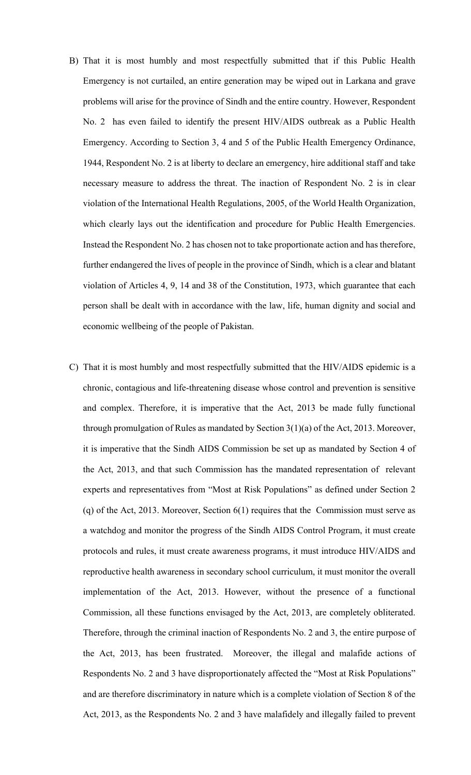- B) That it is most humbly and most respectfully submitted that if this Public Health Emergency is not curtailed, an entire generation may be wiped out in Larkana and grave problems will arise for the province of Sindh and the entire country. However, Respondent No. 2 has even failed to identify the present HIV/AIDS outbreak as a Public Health Emergency. According to Section 3, 4 and 5 of the Public Health Emergency Ordinance, 1944, Respondent No. 2 is at liberty to declare an emergency, hire additional staff and take necessary measure to address the threat. The inaction of Respondent No. 2 is in clear violation of the International Health Regulations, 2005, of the World Health Organization, which clearly lays out the identification and procedure for Public Health Emergencies. Instead the Respondent No. 2 has chosen not to take proportionate action and has therefore, further endangered the lives of people in the province of Sindh, which is a clear and blatant violation of Articles 4, 9, 14 and 38 of the Constitution, 1973, which guarantee that each person shall be dealt with in accordance with the law, life, human dignity and social and economic wellbeing of the people of Pakistan.
- C) That it is most humbly and most respectfully submitted that the HIV/AIDS epidemic is a chronic, contagious and life-threatening disease whose control and prevention is sensitive and complex. Therefore, it is imperative that the Act, 2013 be made fully functional through promulgation of Rules as mandated by Section 3(1)(a) of the Act, 2013. Moreover, it is imperative that the Sindh AIDS Commission be set up as mandated by Section 4 of the Act, 2013, and that such Commission has the mandated representation of relevant experts and representatives from "Most at Risk Populations" as defined under Section 2 (q) of the Act, 2013. Moreover, Section 6(1) requires that the Commission must serve as a watchdog and monitor the progress of the Sindh AIDS Control Program, it must create protocols and rules, it must create awareness programs, it must introduce HIV/AIDS and reproductive health awareness in secondary school curriculum, it must monitor the overall implementation of the Act, 2013. However, without the presence of a functional Commission, all these functions envisaged by the Act, 2013, are completely obliterated. Therefore, through the criminal inaction of Respondents No. 2 and 3, the entire purpose of the Act, 2013, has been frustrated. Moreover, the illegal and malafide actions of Respondents No. 2 and 3 have disproportionately affected the "Most at Risk Populations" and are therefore discriminatory in nature which is a complete violation of Section 8 of the Act, 2013, as the Respondents No. 2 and 3 have malafidely and illegally failed to prevent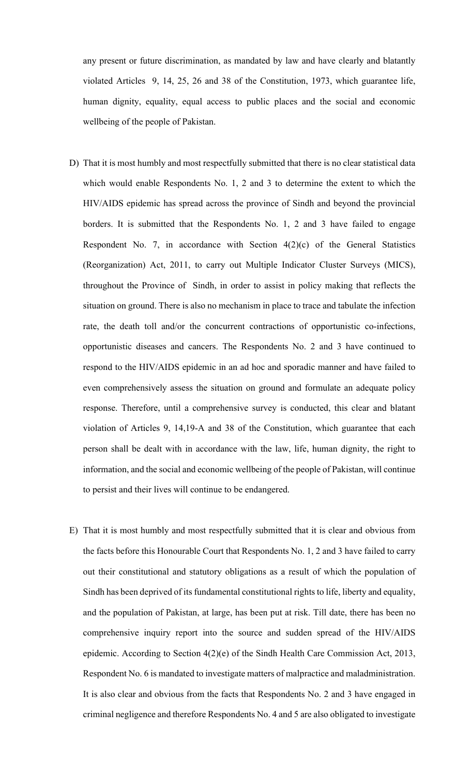any present or future discrimination, as mandated by law and have clearly and blatantly violated Articles 9, 14, 25, 26 and 38 of the Constitution, 1973, which guarantee life, human dignity, equality, equal access to public places and the social and economic wellbeing of the people of Pakistan.

- D) That it is most humbly and most respectfully submitted that there is no clear statistical data which would enable Respondents No. 1, 2 and 3 to determine the extent to which the HIV/AIDS epidemic has spread across the province of Sindh and beyond the provincial borders. It is submitted that the Respondents No. 1, 2 and 3 have failed to engage Respondent No. 7, in accordance with Section 4(2)(c) of the General Statistics (Reorganization) Act, 2011, to carry out Multiple Indicator Cluster Surveys (MICS), throughout the Province of Sindh, in order to assist in policy making that reflects the situation on ground. There is also no mechanism in place to trace and tabulate the infection rate, the death toll and/or the concurrent contractions of opportunistic co-infections, opportunistic diseases and cancers. The Respondents No. 2 and 3 have continued to respond to the HIV/AIDS epidemic in an ad hoc and sporadic manner and have failed to even comprehensively assess the situation on ground and formulate an adequate policy response. Therefore, until a comprehensive survey is conducted, this clear and blatant violation of Articles 9, 14,19-A and 38 of the Constitution, which guarantee that each person shall be dealt with in accordance with the law, life, human dignity, the right to information, and the social and economic wellbeing of the people of Pakistan, will continue to persist and their lives will continue to be endangered.
- E) That it is most humbly and most respectfully submitted that it is clear and obvious from the facts before this Honourable Court that Respondents No. 1, 2 and 3 have failed to carry out their constitutional and statutory obligations as a result of which the population of Sindh has been deprived of its fundamental constitutional rights to life, liberty and equality, and the population of Pakistan, at large, has been put at risk. Till date, there has been no comprehensive inquiry report into the source and sudden spread of the HIV/AIDS epidemic. According to Section 4(2)(e) of the Sindh Health Care Commission Act, 2013, Respondent No. 6 is mandated to investigate matters of malpractice and maladministration. It is also clear and obvious from the facts that Respondents No. 2 and 3 have engaged in criminal negligence and therefore Respondents No. 4 and 5 are also obligated to investigate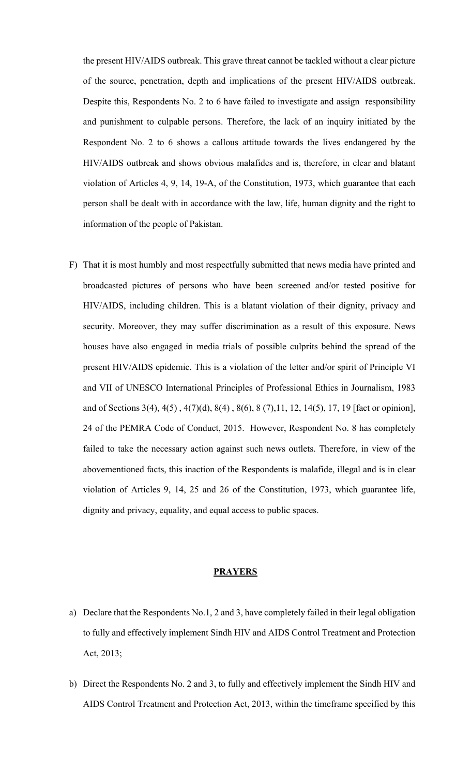the present HIV/AIDS outbreak. This grave threat cannot be tackled without a clear picture of the source, penetration, depth and implications of the present HIV/AIDS outbreak. Despite this, Respondents No. 2 to 6 have failed to investigate and assign responsibility and punishment to culpable persons. Therefore, the lack of an inquiry initiated by the Respondent No. 2 to 6 shows a callous attitude towards the lives endangered by the HIV/AIDS outbreak and shows obvious malafides and is, therefore, in clear and blatant violation of Articles 4, 9, 14, 19-A, of the Constitution, 1973, which guarantee that each person shall be dealt with in accordance with the law, life, human dignity and the right to information of the people of Pakistan.

F) That it is most humbly and most respectfully submitted that news media have printed and broadcasted pictures of persons who have been screened and/or tested positive for HIV/AIDS, including children. This is a blatant violation of their dignity, privacy and security. Moreover, they may suffer discrimination as a result of this exposure. News houses have also engaged in media trials of possible culprits behind the spread of the present HIV/AIDS epidemic. This is a violation of the letter and/or spirit of Principle VI and VII of UNESCO International Principles of Professional Ethics in Journalism, 1983 and of Sections 3(4), 4(5) , 4(7)(d), 8(4) , 8(6), 8 (7),11, 12, 14(5), 17, 19 [fact or opinion], 24 of the PEMRA Code of Conduct, 2015. However, Respondent No. 8 has completely failed to take the necessary action against such news outlets. Therefore, in view of the abovementioned facts, this inaction of the Respondents is malafide, illegal and is in clear violation of Articles 9, 14, 25 and 26 of the Constitution, 1973, which guarantee life, dignity and privacy, equality, and equal access to public spaces.

#### **PRAYERS**

- a) Declare that the Respondents No.1, 2 and 3, have completely failed in their legal obligation to fully and effectively implement Sindh HIV and AIDS Control Treatment and Protection Act, 2013;
- b) Direct the Respondents No. 2 and 3, to fully and effectively implement the Sindh HIV and AIDS Control Treatment and Protection Act, 2013, within the timeframe specified by this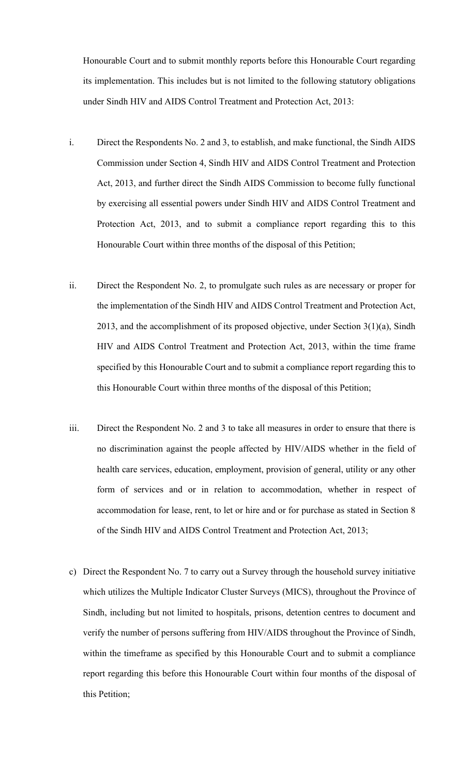Honourable Court and to submit monthly reports before this Honourable Court regarding its implementation. This includes but is not limited to the following statutory obligations under Sindh HIV and AIDS Control Treatment and Protection Act, 2013:

- i. Direct the Respondents No. 2 and 3, to establish, and make functional, the Sindh AIDS Commission under Section 4, Sindh HIV and AIDS Control Treatment and Protection Act, 2013, and further direct the Sindh AIDS Commission to become fully functional by exercising all essential powers under Sindh HIV and AIDS Control Treatment and Protection Act, 2013, and to submit a compliance report regarding this to this Honourable Court within three months of the disposal of this Petition;
- ii. Direct the Respondent No. 2, to promulgate such rules as are necessary or proper for the implementation of the Sindh HIV and AIDS Control Treatment and Protection Act, 2013, and the accomplishment of its proposed objective, under Section 3(1)(a), Sindh HIV and AIDS Control Treatment and Protection Act, 2013, within the time frame specified by this Honourable Court and to submit a compliance report regarding this to this Honourable Court within three months of the disposal of this Petition;
- iii. Direct the Respondent No. 2 and 3 to take all measures in order to ensure that there is no discrimination against the people affected by HIV/AIDS whether in the field of health care services, education, employment, provision of general, utility or any other form of services and or in relation to accommodation, whether in respect of accommodation for lease, rent, to let or hire and or for purchase as stated in Section 8 of the Sindh HIV and AIDS Control Treatment and Protection Act, 2013;
- c) Direct the Respondent No. 7 to carry out a Survey through the household survey initiative which utilizes the Multiple Indicator Cluster Surveys (MICS), throughout the Province of Sindh, including but not limited to hospitals, prisons, detention centres to document and verify the number of persons suffering from HIV/AIDS throughout the Province of Sindh, within the timeframe as specified by this Honourable Court and to submit a compliance report regarding this before this Honourable Court within four months of the disposal of this Petition;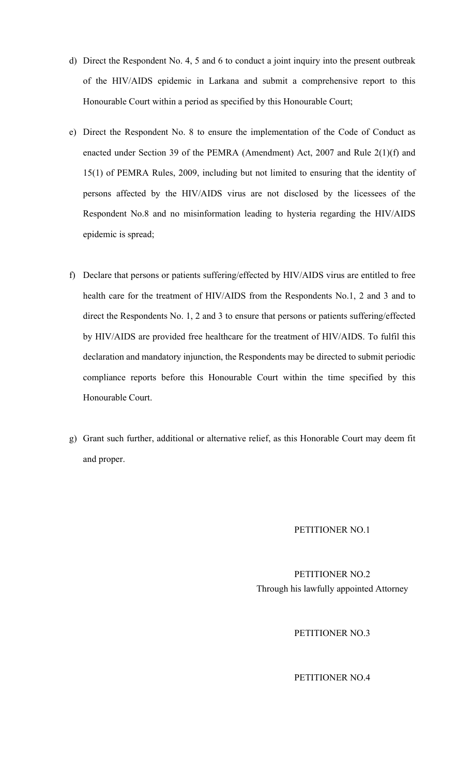- d) Direct the Respondent No. 4, 5 and 6 to conduct a joint inquiry into the present outbreak of the HIV/AIDS epidemic in Larkana and submit a comprehensive report to this Honourable Court within a period as specified by this Honourable Court;
- e) Direct the Respondent No. 8 to ensure the implementation of the Code of Conduct as enacted under Section 39 of the PEMRA (Amendment) Act, 2007 and Rule 2(1)(f) and 15(1) of PEMRA Rules, 2009, including but not limited to ensuring that the identity of persons affected by the HIV/AIDS virus are not disclosed by the licessees of the Respondent No.8 and no misinformation leading to hysteria regarding the HIV/AIDS epidemic is spread;
- f) Declare that persons or patients suffering/effected by HIV/AIDS virus are entitled to free health care for the treatment of HIV/AIDS from the Respondents No.1, 2 and 3 and to direct the Respondents No. 1, 2 and 3 to ensure that persons or patients suffering/effected by HIV/AIDS are provided free healthcare for the treatment of HIV/AIDS. To fulfil this declaration and mandatory injunction, the Respondents may be directed to submit periodic compliance reports before this Honourable Court within the time specified by this Honourable Court.
- g) Grant such further, additional or alternative relief, as this Honorable Court may deem fit and proper.

### PETITIONER NO.1

PETITIONER NO.2 Through his lawfully appointed Attorney

PETITIONER NO.3

PETITIONER NO.4